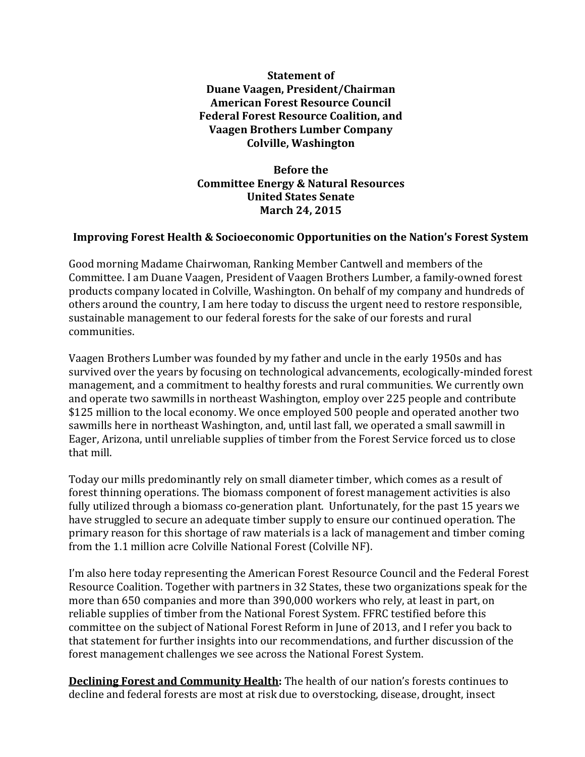**Statement of Duane Vaagen, President/Chairman American Forest Resource Council Federal Forest Resource Coalition, and Vaagen Brothers Lumber Company Colville, Washington**

**Before the Committee Energy & Natural Resources United States Senate March 24, 2015**

## **Improving Forest Health & Socioeconomic Opportunities on the Nation's Forest System**

Good morning Madame Chairwoman, Ranking Member Cantwell and members of the Committee. I am Duane Vaagen, President of Vaagen Brothers Lumber, a family-owned forest products company located in Colville, Washington. On behalf of my company and hundreds of others around the country, I am here today to discuss the urgent need to restore responsible, sustainable management to our federal forests for the sake of our forests and rural communities.

Vaagen Brothers Lumber was founded by my father and uncle in the early 1950s and has survived over the years by focusing on technological advancements, ecologically-minded forest management, and a commitment to healthy forests and rural communities. We currently own and operate two sawmills in northeast Washington, employ over 225 people and contribute \$125 million to the local economy. We once employed 500 people and operated another two sawmills here in northeast Washington, and, until last fall, we operated a small sawmill in Eager, Arizona, until unreliable supplies of timber from the Forest Service forced us to close that mill.

Today our mills predominantly rely on small diameter timber, which comes as a result of forest thinning operations. The biomass component of forest management activities is also fully utilized through a biomass co-generation plant. Unfortunately, for the past 15 years we have struggled to secure an adequate timber supply to ensure our continued operation. The primary reason for this shortage of raw materials is a lack of management and timber coming from the 1.1 million acre Colville National Forest (Colville NF).

I'm also here today representing the American Forest Resource Council and the Federal Forest Resource Coalition. Together with partners in 32 States, these two organizations speak for the more than 650 companies and more than 390,000 workers who rely, at least in part, on reliable supplies of timber from the National Forest System. FFRC testified before this committee on the subject of National Forest Reform in June of 2013, and I refer you back to that statement for further insights into our recommendations, and further discussion of the forest management challenges we see across the National Forest System.

**Declining Forest and Community Health:** The health of our nation's forests continues to decline and federal forests are most at risk due to overstocking, disease, drought, insect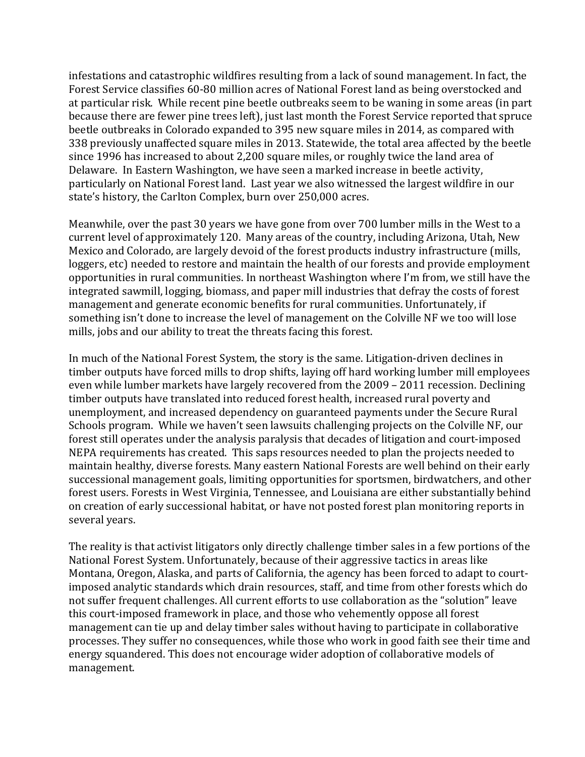infestations and catastrophic wildfires resulting from a lack of sound management. In fact, the Forest Service classifies 60-80 million acres of National Forest land as being overstocked and at particular risk. While recent pine beetle outbreaks seem to be waning in some areas (in part because there are fewer pine trees left), just last month the Forest Service reported that spruce beetle outbreaks in Colorado expanded to 395 new square miles in 2014, as compared with 338 previously unaffected square miles in 2013. Statewide, the total area affected by the beetle since 1996 has increased to about 2,200 square miles, or roughly twice the land area of Delaware. In Eastern Washington, we have seen a marked increase in beetle activity, particularly on National Forest land. Last year we also witnessed the largest wildfire in our state's history, the Carlton Complex, burn over 250,000 acres.

Meanwhile, over the past 30 years we have gone from over 700 lumber mills in the West to a current level of approximately 120. Many areas of the country, including Arizona, Utah, New Mexico and Colorado, are largely devoid of the forest products industry infrastructure (mills, loggers, etc) needed to restore and maintain the health of our forests and provide employment opportunities in rural communities. In northeast Washington where I'm from, we still have the integrated sawmill, logging, biomass, and paper mill industries that defray the costs of forest management and generate economic benefits for rural communities. Unfortunately, if something isn't done to increase the level of management on the Colville NF we too will lose mills, jobs and our ability to treat the threats facing this forest.

In much of the National Forest System, the story is the same. Litigation-driven declines in timber outputs have forced mills to drop shifts, laying off hard working lumber mill employees even while lumber markets have largely recovered from the 2009 – 2011 recession. Declining timber outputs have translated into reduced forest health, increased rural poverty and unemployment, and increased dependency on guaranteed payments under the Secure Rural Schools program. While we haven't seen lawsuits challenging projects on the Colville NF, our forest still operates under the analysis paralysis that decades of litigation and court-imposed NEPA requirements has created. This saps resources needed to plan the projects needed to maintain healthy, diverse forests. Many eastern National Forests are well behind on their early successional management goals, limiting opportunities for sportsmen, birdwatchers, and other forest users. Forests in West Virginia, Tennessee, and Louisiana are either substantially behind on creation of early successional habitat, or have not posted forest plan monitoring reports in several years.

The reality is that activist litigators only directly challenge timber sales in a few portions of the National Forest System. Unfortunately, because of their aggressive tactics in areas like Montana, Oregon, Alaska, and parts of California, the agency has been forced to adapt to courtimposed analytic standards which drain resources, staff, and time from other forests which do not suffer frequent challenges. All current efforts to use collaboration as the "solution" leave this court-imposed framework in place, and those who vehemently oppose all forest management can tie up and delay timber sales without having to participate in collaborative processes. They suffer no consequences, while those who work in good faith see their time and energy squandered. This does not encourage wider adoption of collaborative models of management.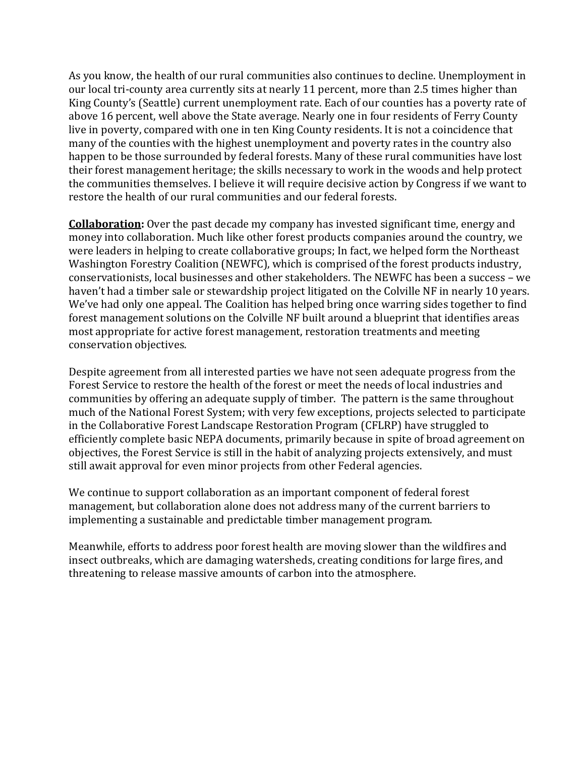As you know, the health of our rural communities also continues to decline. Unemployment in our local tri-county area currently sits at nearly 11 percent, more than 2.5 times higher than King County's (Seattle) current unemployment rate. Each of our counties has a poverty rate of above 16 percent, well above the State average. Nearly one in four residents of Ferry County live in poverty, compared with one in ten King County residents. It is not a coincidence that many of the counties with the highest unemployment and poverty rates in the country also happen to be those surrounded by federal forests. Many of these rural communities have lost their forest management heritage; the skills necessary to work in the woods and help protect the communities themselves. I believe it will require decisive action by Congress if we want to restore the health of our rural communities and our federal forests.

**Collaboration:** Over the past decade my company has invested significant time, energy and money into collaboration. Much like other forest products companies around the country, we were leaders in helping to create collaborative groups; In fact, we helped form the Northeast Washington Forestry Coalition (NEWFC), which is comprised of the forest products industry, conservationists, local businesses and other stakeholders. The NEWFC has been a success – we haven't had a timber sale or stewardship project litigated on the Colville NF in nearly 10 years. We've had only one appeal. The Coalition has helped bring once warring sides together to find forest management solutions on the Colville NF built around a blueprint that identifies areas most appropriate for active forest management, restoration treatments and meeting conservation objectives.

Despite agreement from all interested parties we have not seen adequate progress from the Forest Service to restore the health of the forest or meet the needs of local industries and communities by offering an adequate supply of timber. The pattern is the same throughout much of the National Forest System; with very few exceptions, projects selected to participate in the Collaborative Forest Landscape Restoration Program (CFLRP) have struggled to efficiently complete basic NEPA documents, primarily because in spite of broad agreement on objectives, the Forest Service is still in the habit of analyzing projects extensively, and must still await approval for even minor projects from other Federal agencies.

We continue to support collaboration as an important component of federal forest management, but collaboration alone does not address many of the current barriers to implementing a sustainable and predictable timber management program.

Meanwhile, efforts to address poor forest health are moving slower than the wildfires and insect outbreaks, which are damaging watersheds, creating conditions for large fires, and threatening to release massive amounts of carbon into the atmosphere.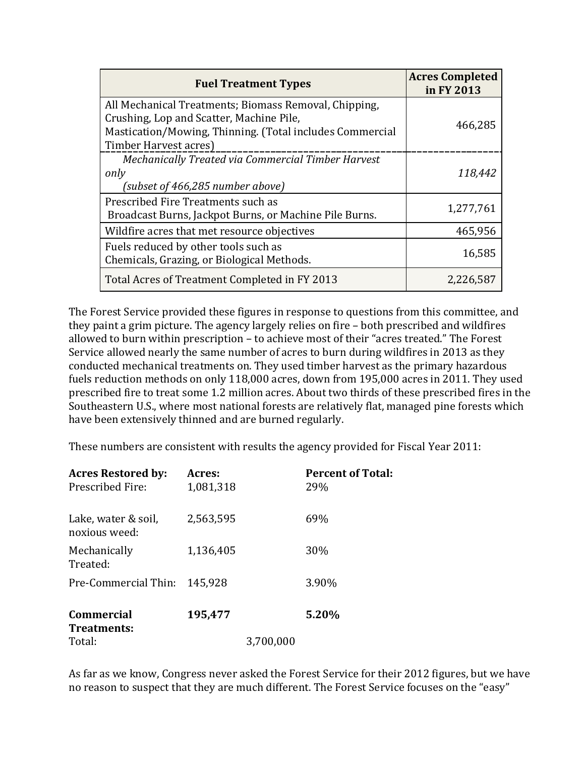| <b>Fuel Treatment Types</b>                                                                                                                                                            | <b>Acres Completed</b><br>in FY 2013 |
|----------------------------------------------------------------------------------------------------------------------------------------------------------------------------------------|--------------------------------------|
| All Mechanical Treatments; Biomass Removal, Chipping,<br>Crushing, Lop and Scatter, Machine Pile,<br>Mastication/Mowing, Thinning. (Total includes Commercial<br>Timber Harvest acres) | 466,285                              |
| Mechanically Treated via Commercial Timber Harvest<br>only<br>(subset of 466,285 number above)                                                                                         | 118,442                              |
| Prescribed Fire Treatments such as<br>Broadcast Burns, Jackpot Burns, or Machine Pile Burns.                                                                                           | 1,277,761                            |
| Wildfire acres that met resource objectives                                                                                                                                            | 465,956                              |
| Fuels reduced by other tools such as<br>Chemicals, Grazing, or Biological Methods.                                                                                                     | 16,585                               |
| Total Acres of Treatment Completed in FY 2013                                                                                                                                          | 2,226,587                            |

The Forest Service provided these figures in response to questions from this committee, and they paint a grim picture. The agency largely relies on fire – both prescribed and wildfires allowed to burn within prescription – to achieve most of their "acres treated." The Forest Service allowed nearly the same number of acres to burn during wildfires in 2013 as they conducted mechanical treatments on. They used timber harvest as the primary hazardous fuels reduction methods on only 118,000 acres, down from 195,000 acres in 2011. They used prescribed fire to treat some 1.2 million acres. About two thirds of these prescribed fires in the Southeastern U.S., where most national forests are relatively flat, managed pine forests which have been extensively thinned and are burned regularly.

These numbers are consistent with results the agency provided for Fiscal Year 2011:

| <b>Acres Restored by:</b><br>Prescribed Fire: | Acres:<br>1,081,318 |           | <b>Percent of Total:</b><br>29% |
|-----------------------------------------------|---------------------|-----------|---------------------------------|
| Lake, water & soil,<br>noxious weed:          | 2,563,595           |           | 69%                             |
| Mechanically<br>Treated:                      | 1,136,405           |           | 30%                             |
| Pre-Commercial Thin:                          | 145,928             |           | 3.90%                           |
| <b>Commercial</b><br>Treatments:              | 195,477             |           | 5.20%                           |
| Total:                                        |                     | 3,700,000 |                                 |

As far as we know, Congress never asked the Forest Service for their 2012 figures, but we have no reason to suspect that they are much different. The Forest Service focuses on the "easy"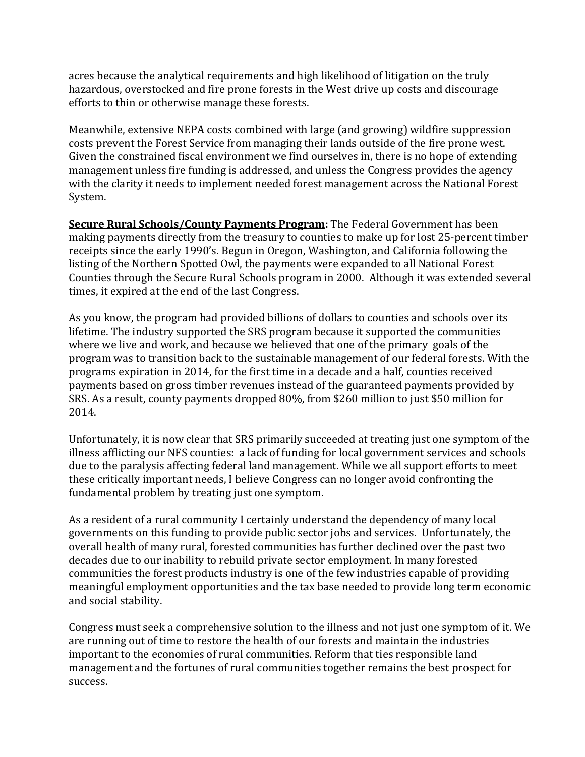acres because the analytical requirements and high likelihood of litigation on the truly hazardous, overstocked and fire prone forests in the West drive up costs and discourage efforts to thin or otherwise manage these forests.

Meanwhile, extensive NEPA costs combined with large (and growing) wildfire suppression costs prevent the Forest Service from managing their lands outside of the fire prone west. Given the constrained fiscal environment we find ourselves in, there is no hope of extending management unless fire funding is addressed, and unless the Congress provides the agency with the clarity it needs to implement needed forest management across the National Forest System.

**Secure Rural Schools/County Payments Program:** The Federal Government has been making payments directly from the treasury to counties to make up for lost 25-percent timber receipts since the early 1990's. Begun in Oregon, Washington, and California following the listing of the Northern Spotted Owl, the payments were expanded to all National Forest Counties through the Secure Rural Schools program in 2000. Although it was extended several times, it expired at the end of the last Congress.

As you know, the program had provided billions of dollars to counties and schools over its lifetime. The industry supported the SRS program because it supported the communities where we live and work, and because we believed that one of the primary goals of the program was to transition back to the sustainable management of our federal forests. With the programs expiration in 2014, for the first time in a decade and a half, counties received payments based on gross timber revenues instead of the guaranteed payments provided by SRS. As a result, county payments dropped 80%, from \$260 million to just \$50 million for 2014.

Unfortunately, it is now clear that SRS primarily succeeded at treating just one symptom of the illness afflicting our NFS counties: a lack of funding for local government services and schools due to the paralysis affecting federal land management. While we all support efforts to meet these critically important needs, I believe Congress can no longer avoid confronting the fundamental problem by treating just one symptom.

As a resident of a rural community I certainly understand the dependency of many local governments on this funding to provide public sector jobs and services. Unfortunately, the overall health of many rural, forested communities has further declined over the past two decades due to our inability to rebuild private sector employment. In many forested communities the forest products industry is one of the few industries capable of providing meaningful employment opportunities and the tax base needed to provide long term economic and social stability.

Congress must seek a comprehensive solution to the illness and not just one symptom of it. We are running out of time to restore the health of our forests and maintain the industries important to the economies of rural communities. Reform that ties responsible land management and the fortunes of rural communities together remains the best prospect for success.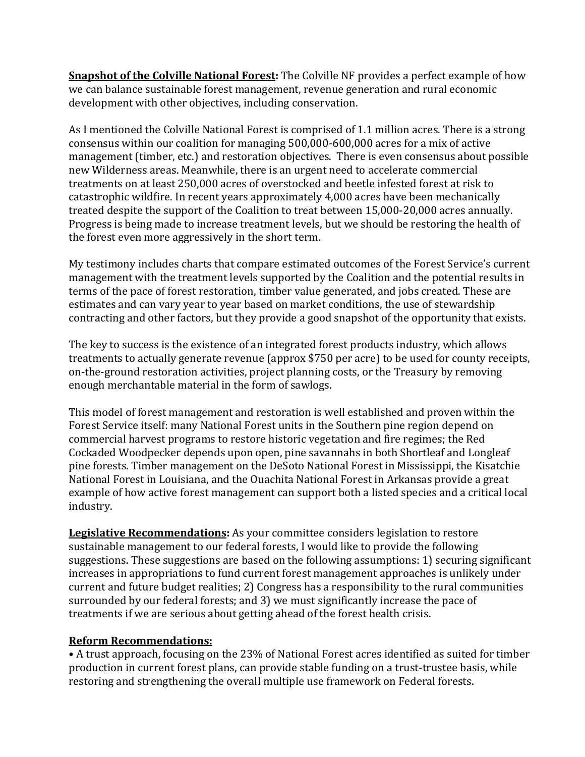**Snapshot of the Colville National Forest:** The Colville NF provides a perfect example of how we can balance sustainable forest management, revenue generation and rural economic development with other objectives, including conservation.

As I mentioned the Colville National Forest is comprised of 1.1 million acres. There is a strong consensus within our coalition for managing 500,000-600,000 acres for a mix of active management (timber, etc.) and restoration objectives. There is even consensus about possible new Wilderness areas. Meanwhile, there is an urgent need to accelerate commercial treatments on at least 250,000 acres of overstocked and beetle infested forest at risk to catastrophic wildfire. In recent years approximately 4,000 acres have been mechanically treated despite the support of the Coalition to treat between 15,000-20,000 acres annually. Progress is being made to increase treatment levels, but we should be restoring the health of the forest even more aggressively in the short term.

My testimony includes charts that compare estimated outcomes of the Forest Service's current management with the treatment levels supported by the Coalition and the potential results in terms of the pace of forest restoration, timber value generated, and jobs created. These are estimates and can vary year to year based on market conditions, the use of stewardship contracting and other factors, but they provide a good snapshot of the opportunity that exists.

The key to success is the existence of an integrated forest products industry, which allows treatments to actually generate revenue (approx \$750 per acre) to be used for county receipts, on-the-ground restoration activities, project planning costs, or the Treasury by removing enough merchantable material in the form of sawlogs.

This model of forest management and restoration is well established and proven within the Forest Service itself: many National Forest units in the Southern pine region depend on commercial harvest programs to restore historic vegetation and fire regimes; the Red Cockaded Woodpecker depends upon open, pine savannahs in both Shortleaf and Longleaf pine forests. Timber management on the DeSoto National Forest in Mississippi, the Kisatchie National Forest in Louisiana, and the Ouachita National Forest in Arkansas provide a great example of how active forest management can support both a listed species and a critical local industry.

**Legislative Recommendations:** As your committee considers legislation to restore sustainable management to our federal forests, I would like to provide the following suggestions. These suggestions are based on the following assumptions: 1) securing significant increases in appropriations to fund current forest management approaches is unlikely under current and future budget realities; 2) Congress has a responsibility to the rural communities surrounded by our federal forests; and 3) we must significantly increase the pace of treatments if we are serious about getting ahead of the forest health crisis.

## **Reform Recommendations:**

• A trust approach, focusing on the 23% of National Forest acres identified as suited for timber production in current forest plans, can provide stable funding on a trust-trustee basis, while restoring and strengthening the overall multiple use framework on Federal forests.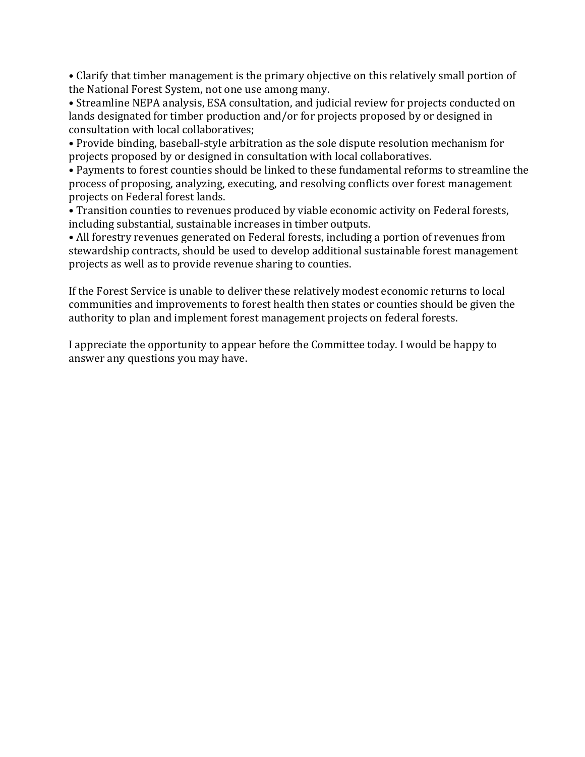• Clarify that timber management is the primary objective on this relatively small portion of the National Forest System, not one use among many.

• Streamline NEPA analysis, ESA consultation, and judicial review for projects conducted on lands designated for timber production and/or for projects proposed by or designed in consultation with local collaboratives;

• Provide binding, baseball-style arbitration as the sole dispute resolution mechanism for projects proposed by or designed in consultation with local collaboratives.

• Payments to forest counties should be linked to these fundamental reforms to streamline the process of proposing, analyzing, executing, and resolving conflicts over forest management projects on Federal forest lands.

• Transition counties to revenues produced by viable economic activity on Federal forests, including substantial, sustainable increases in timber outputs.

• All forestry revenues generated on Federal forests, including a portion of revenues from stewardship contracts, should be used to develop additional sustainable forest management projects as well as to provide revenue sharing to counties.

If the Forest Service is unable to deliver these relatively modest economic returns to local communities and improvements to forest health then states or counties should be given the authority to plan and implement forest management projects on federal forests.

I appreciate the opportunity to appear before the Committee today. I would be happy to answer any questions you may have.